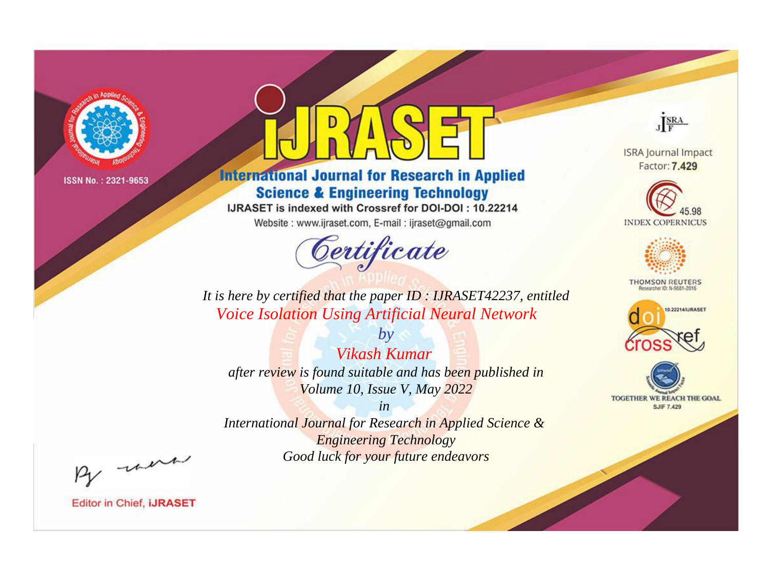

# **International Journal for Research in Applied Science & Engineering Technology**

IJRASET is indexed with Crossref for DOI-DOI: 10.22214

Website: www.ijraset.com, E-mail: ijraset@gmail.com



JERA

**ISRA Journal Impact** Factor: 7.429





**THOMSON REUTERS** 



TOGETHER WE REACH THE GOAL **SJIF 7.429** 

*It is here by certified that the paper ID : IJRASET42237, entitled Voice Isolation Using Artificial Neural Network*

*by Vikash Kumar after review is found suitable and has been published in Volume 10, Issue V, May 2022*

*in* 

*International Journal for Research in Applied Science & Engineering Technology Good luck for your future endeavors*

By morn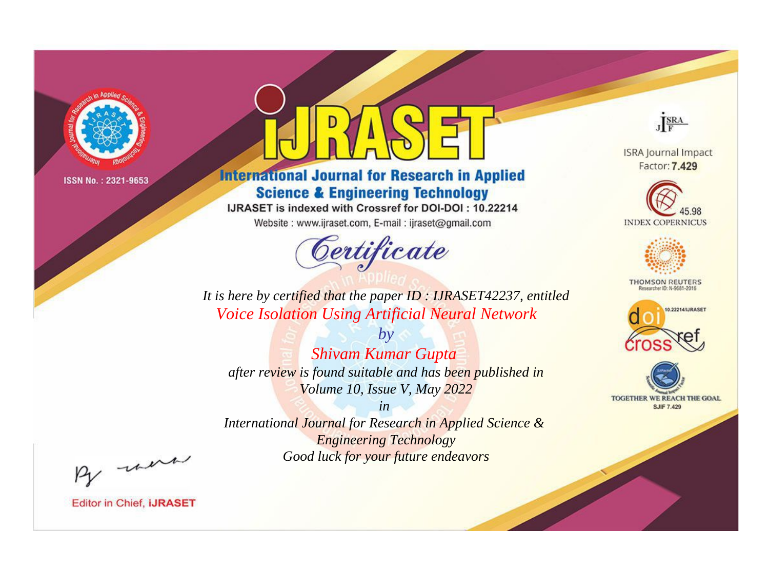

# **International Journal for Research in Applied Science & Engineering Technology**

IJRASET is indexed with Crossref for DOI-DOI: 10.22214

Website: www.ijraset.com, E-mail: ijraset@gmail.com



JERA

**ISRA Journal Impact** Factor: 7.429





**THOMSON REUTERS** 



TOGETHER WE REACH THE GOAL **SJIF 7.429** 

It is here by certified that the paper ID: IJRASET42237, entitled **Voice Isolation Using Artificial Neural Network** 

 $b\nu$ **Shivam Kumar Gupta** after review is found suitable and has been published in Volume 10, Issue V, May 2022

 $in$ International Journal for Research in Applied Science & **Engineering Technology** Good luck for your future endeavors

By morn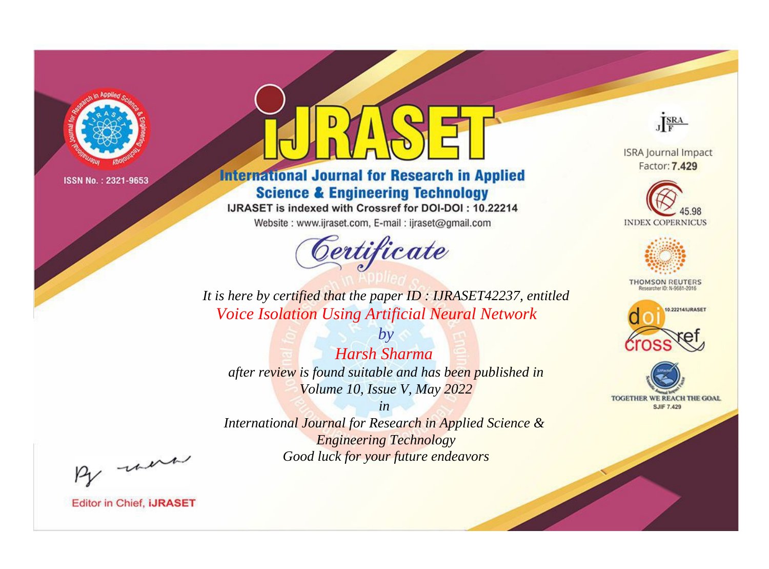

# **International Journal for Research in Applied Science & Engineering Technology**

IJRASET is indexed with Crossref for DOI-DOI: 10.22214

Website: www.ijraset.com, E-mail: ijraset@gmail.com



JERA

**ISRA Journal Impact** Factor: 7.429





**THOMSON REUTERS** 



TOGETHER WE REACH THE GOAL **SJIF 7.429** 

*It is here by certified that the paper ID : IJRASET42237, entitled Voice Isolation Using Artificial Neural Network*

*by Harsh Sharma after review is found suitable and has been published in Volume 10, Issue V, May 2022*

*in* 

*International Journal for Research in Applied Science & Engineering Technology Good luck for your future endeavors*

By morn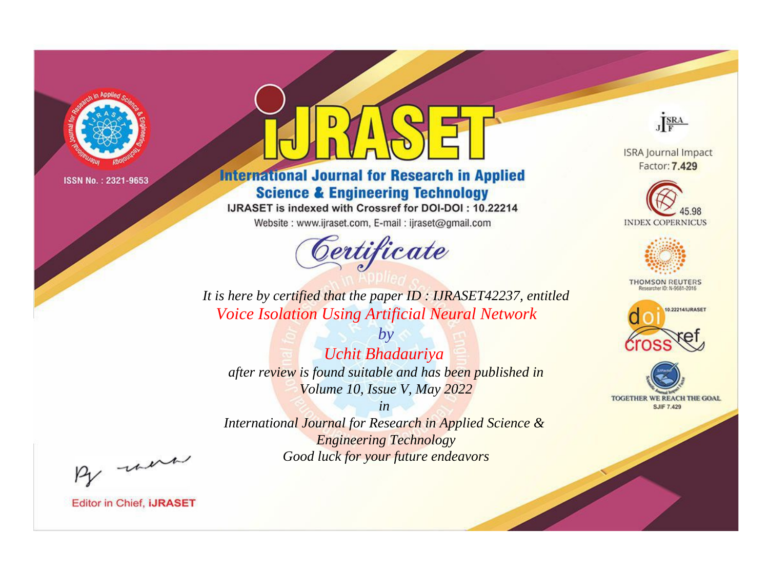

# **International Journal for Research in Applied Science & Engineering Technology**

IJRASET is indexed with Crossref for DOI-DOI: 10.22214

Website: www.ijraset.com, E-mail: ijraset@gmail.com



JERA

**ISRA Journal Impact** Factor: 7.429





**THOMSON REUTERS** 



TOGETHER WE REACH THE GOAL **SJIF 7.429** 

*It is here by certified that the paper ID : IJRASET42237, entitled Voice Isolation Using Artificial Neural Network*

*by Uchit Bhadauriya after review is found suitable and has been published in Volume 10, Issue V, May 2022*

*in* 

*International Journal for Research in Applied Science & Engineering Technology Good luck for your future endeavors*

By morn